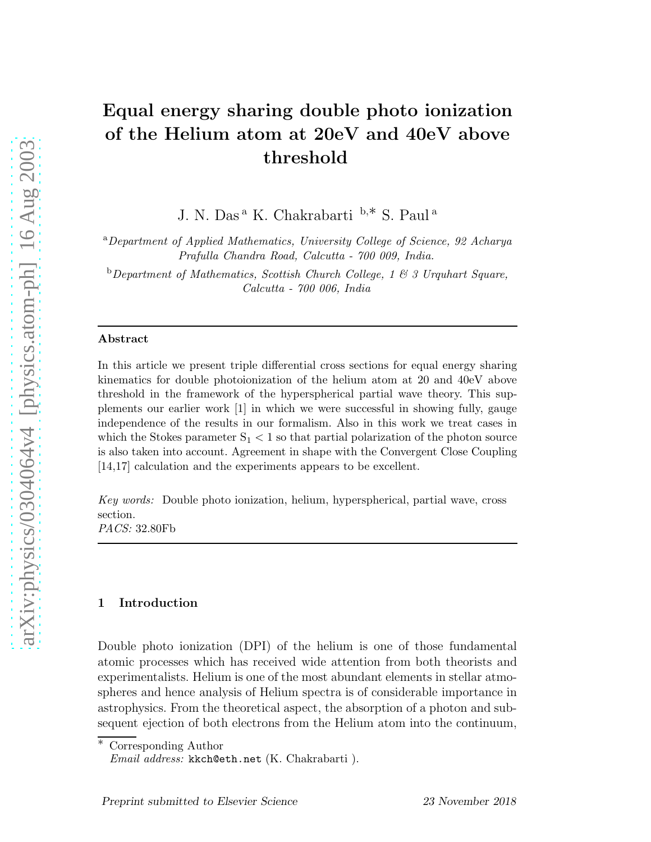# Equal energy sharing double photo ionization of the Helium atom at 20eV and 40eV above threshold

J. N. Das <sup>a</sup> K. Chakrabarti <sup>b</sup>,∗ S. Paul <sup>a</sup>

<sup>a</sup>*Department of Applied Mathematics, University College of Science, 92 Acharya Prafulla Chandra Road, Calcutta - 700 009, India.*

<sup>b</sup>*Department of Mathematics, Scottish Church College, 1 & 3 Urquhart Square, Calcutta - 700 006, India*

### Abstract

In this article we present triple differential cross sections for equal energy sharing kinematics for double photoionization of the helium atom at 20 and 40eV above threshold in the framework of the hyperspherical partial wave theory. This supplements our earlier work [1] in which we were successful in showing fully, gauge independence of the results in our formalism. Also in this work we treat cases in which the Stokes parameter  $S_1 < 1$  so that partial polarization of the photon source is also taken into account. Agreement in shape with the Convergent Close Coupling [14,17] calculation and the experiments appears to be excellent.

*Key words:* Double photo ionization, helium, hyperspherical, partial wave, cross section. *PACS:* 32.80Fb

## 1 Introduction

Double photo ionization (DPI) of the helium is one of those fundamental atomic processes which has received wide attention from both theorists and experimentalists. Helium is one of the most abundant elements in stellar atmospheres and hence analysis of Helium spectra is of considerable importance in astrophysics. From the theoretical aspect, the absorption of a photon and subsequent ejection of both electrons from the Helium atom into the continuum,

∗ Corresponding Author

*Email address:* kkch@eth.net (K. Chakrabarti ).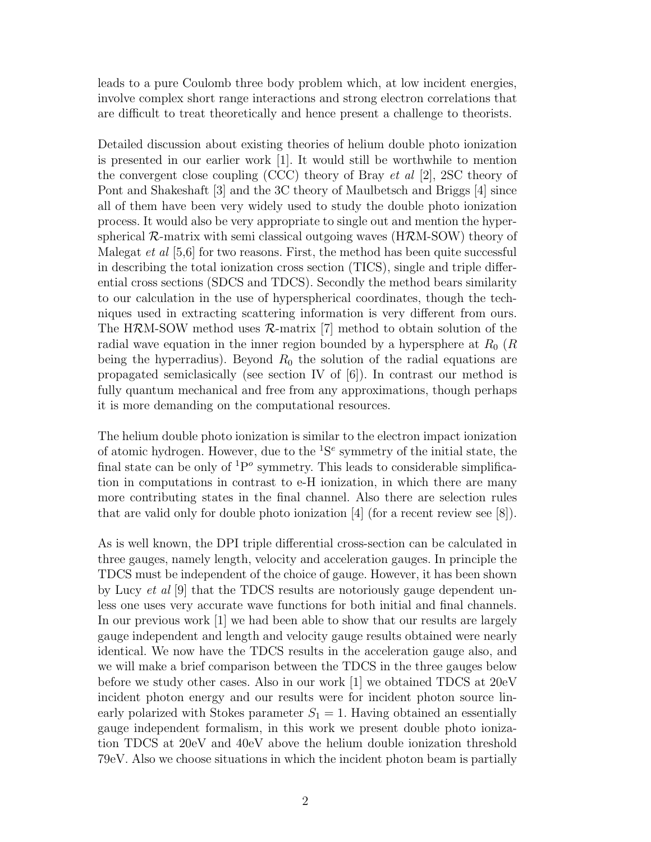leads to a pure Coulomb three body problem which, at low incident energies, involve complex short range interactions and strong electron correlations that are difficult to treat theoretically and hence present a challenge to theorists.

Detailed discussion about existing theories of helium double photo ionization is presented in our earlier work [1]. It would still be worthwhile to mention the convergent close coupling (CCC) theory of Bray et al [2], 2SC theory of Pont and Shakeshaft [3] and the 3C theory of Maulbetsch and Briggs [4] since all of them have been very widely used to study the double photo ionization process. It would also be very appropriate to single out and mention the hyperspherical  $\mathcal{R}$ -matrix with semi classical outgoing waves (H $\mathcal{R}$ M-SOW) theory of Malegat *et al*  $[5,6]$  for two reasons. First, the method has been quite successful in describing the total ionization cross section (TICS), single and triple differential cross sections (SDCS and TDCS). Secondly the method bears similarity to our calculation in the use of hyperspherical coordinates, though the techniques used in extracting scattering information is very different from ours. The HRM-SOW method uses  $\mathcal{R}$ -matrix [7] method to obtain solution of the radial wave equation in the inner region bounded by a hypersphere at  $R_0$  ( $R$ being the hyperradius). Beyond  $R_0$  the solution of the radial equations are propagated semiclasically (see section IV of  $|6|$ ). In contrast our method is fully quantum mechanical and free from any approximations, though perhaps it is more demanding on the computational resources.

The helium double photo ionization is similar to the electron impact ionization of atomic hydrogen. However, due to the  ${}^{1}S^{e}$  symmetry of the initial state, the final state can be only of  ${}^{1}P^{\circ}$  symmetry. This leads to considerable simplification in computations in contrast to e-H ionization, in which there are many more contributing states in the final channel. Also there are selection rules that are valid only for double photo ionization [4] (for a recent review see [8]).

As is well known, the DPI triple differential cross-section can be calculated in three gauges, namely length, velocity and acceleration gauges. In principle the TDCS must be independent of the choice of gauge. However, it has been shown by Lucy *et al*  $[9]$  that the TDCS results are notoriously gauge dependent unless one uses very accurate wave functions for both initial and final channels. In our previous work [1] we had been able to show that our results are largely gauge independent and length and velocity gauge results obtained were nearly identical. We now have the TDCS results in the acceleration gauge also, and we will make a brief comparison between the TDCS in the three gauges below before we study other cases. Also in our work [1] we obtained TDCS at 20eV incident photon energy and our results were for incident photon source linearly polarized with Stokes parameter  $S_1 = 1$ . Having obtained an essentially gauge independent formalism, in this work we present double photo ionization TDCS at 20eV and 40eV above the helium double ionization threshold 79eV. Also we choose situations in which the incident photon beam is partially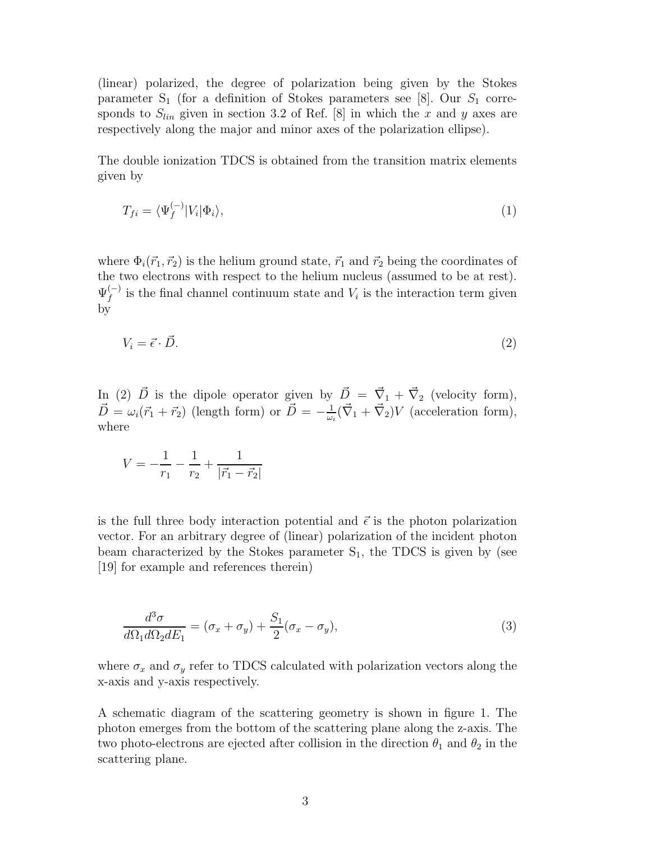(linear) polarized, the degree of polarization being given by the Stokes parameter  $S_1$  (for a definition of Stokes parameters see [8]. Our  $S_1$  corresponds to  $S_{lin}$  given in section 3.2 of Ref. [8] in which the x and y axes are respectively along the major and minor axes of the polarization ellipse).

The double ionization TDCS is obtained from the transition matrix elements given by

$$
T_{fi} = \langle \Psi_f^{(-)} | V_i | \Phi_i \rangle,\tag{1}
$$

where  $\Phi_i(\vec{r}_1, \vec{r}_2)$  is the helium ground state,  $\vec{r}_1$  and  $\vec{r}_2$  being the coordinates of the two electrons with respect to the helium nucleus (assumed to be at rest).  $\Psi_f^{(-)}$  $\int_{f}^{(-)}$  is the final channel continuum state and  $V_i$  is the interaction term given by

$$
V_i = \vec{\epsilon} \cdot \vec{D}.\tag{2}
$$

In (2)  $\vec{D}$  is the dipole operator given by  $\vec{D} = \vec{\nabla}_1 + \vec{\nabla}_2$  (velocity form),  $\vec{D} = \omega_i(\vec{r}_1 + \vec{r}_2)$  (length form) or  $\vec{D} = -\frac{1}{\omega_i}$  $\frac{1}{\omega_i}(\vec{\nabla}_1 + \vec{\nabla}_2)V$  (acceleration form), where

$$
V = -\frac{1}{r_1} - \frac{1}{r_2} + \frac{1}{|\vec{r_1} - \vec{r_2}|}
$$

is the full three body interaction potential and  $\vec{\epsilon}$  is the photon polarization vector. For an arbitrary degree of (linear) polarization of the incident photon beam characterized by the Stokes parameter  $S_1$ , the TDCS is given by (see [19] for example and references therein)

$$
\frac{d^3\sigma}{d\Omega_1 d\Omega_2 dE_1} = (\sigma_x + \sigma_y) + \frac{S_1}{2} (\sigma_x - \sigma_y),\tag{3}
$$

where  $\sigma_x$  and  $\sigma_y$  refer to TDCS calculated with polarization vectors along the x-axis and y-axis respectively.

A schematic diagram of the scattering geometry is shown in figure 1. The photon emerges from the bottom of the scattering plane along the z-axis. The two photo-electrons are ejected after collision in the direction  $\theta_1$  and  $\theta_2$  in the scattering plane.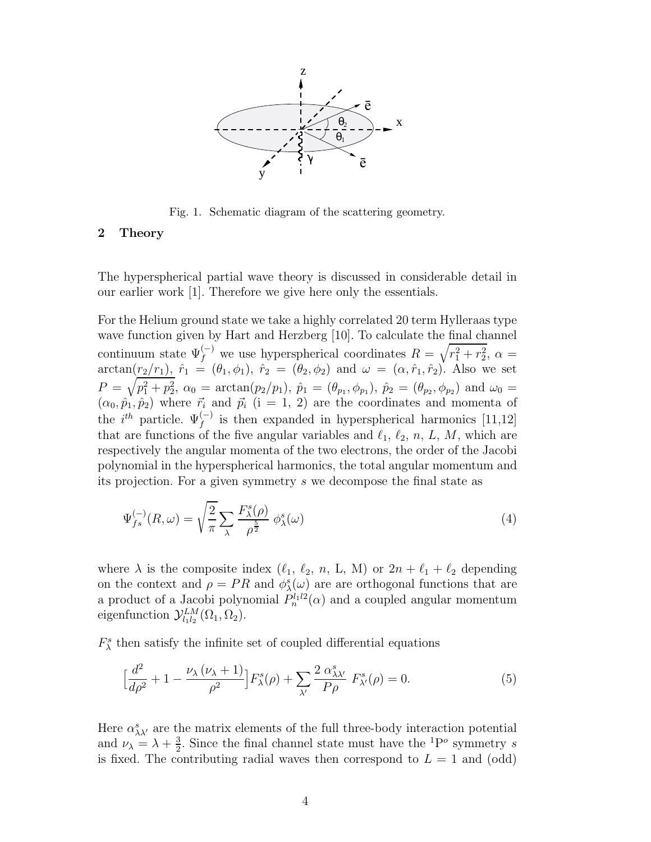

Fig. 1. Schematic diagram of the scattering geometry.

## 2 Theory

The hyperspherical partial wave theory is discussed in considerable detail in our earlier work [1]. Therefore we give here only the essentials.

For the Helium ground state we take a highly correlated 20 term Hylleraas type wave function given by Hart and Herzberg [10]. To calculate the final channel continuum state  $\Psi_f^{(-)}$  we use hyperspherical coordinates  $R = \sqrt{r_1^2 + r_2^2}$ ,  $\alpha =$  $\arctan(r_2/r_1), \hat{r}_1 = (\theta_1, \phi_1), \hat{r}_2 = (\theta_2, \phi_2)$  and  $\omega = (\alpha, \hat{r}_1, \hat{r}_2)$ . Also we set  $P = \sqrt{p_1^2 + p_2^2}$ ,  $\alpha_0 = \arctan(p_2/p_1)$ ,  $\hat{p}_1 = (\theta_{p_1}, \phi_{p_1})$ ,  $\hat{p}_2 = (\theta_{p_2}, \phi_{p_2})$  and  $\omega_0 =$  $(\alpha_0, \hat{p}_1, \hat{p}_2)$  where  $\vec{r}_i$  and  $\vec{p}_i$  (i = 1, 2) are the coordinates and momenta of the  $i^{th}$  particle.  $\Psi_f^{(-)}$  is then expanded in hyperspherical harmonics [11,12] that are functions of the five angular variables and  $\ell_1$ ,  $\ell_2$ , n, L, M, which are respectively the angular momenta of the two electrons, the order of the Jacobi polynomial in the hyperspherical harmonics, the total angular momentum and its projection. For a given symmetry s we decompose the final state as

$$
\Psi_{fs}^{(-)}(R,\omega) = \sqrt{\frac{2}{\pi}} \sum_{\lambda} \frac{F_{\lambda}^s(\rho)}{\rho^{\frac{5}{2}}} \phi_{\lambda}^s(\omega) \tag{4}
$$

where  $\lambda$  is the composite index  $(\ell_1, \ell_2, n, L, M)$  or  $2n + \ell_1 + \ell_2$  depending on the context and  $\rho = PR$  and  $\phi_{\lambda}^{s}(\omega)$  are are orthogonal functions that are a product of a Jacobi polynomial  $P_n^{l_1 l_2}(\alpha)$  and a coupled angular momentum eigenfunction  $\mathcal{Y}_{l_1l_2}^{LM}(\Omega_1,\Omega_2)$ .

 $F_{\lambda}^{s}$  then satisfy the infinite set of coupled differential equations

$$
\left[\frac{d^2}{d\rho^2} + 1 - \frac{\nu_\lambda \left(\nu_\lambda + 1\right)}{\rho^2}\right] F^s_\lambda(\rho) + \sum_{\lambda'} \frac{2 \alpha^s_{\lambda \lambda'}}{P \rho} F^s_{\lambda'}(\rho) = 0. \tag{5}
$$

Here  $\alpha_{\lambda\lambda'}^s$  are the matrix elements of the full three-body interaction potential and  $\nu_{\lambda} = \lambda + \frac{3}{2}$  $\frac{3}{2}$ . Since the final channel state must have the <sup>1</sup>P<sup>o</sup> symmetry *s* is fixed. The contributing radial waves then correspond to  $L = 1$  and (odd)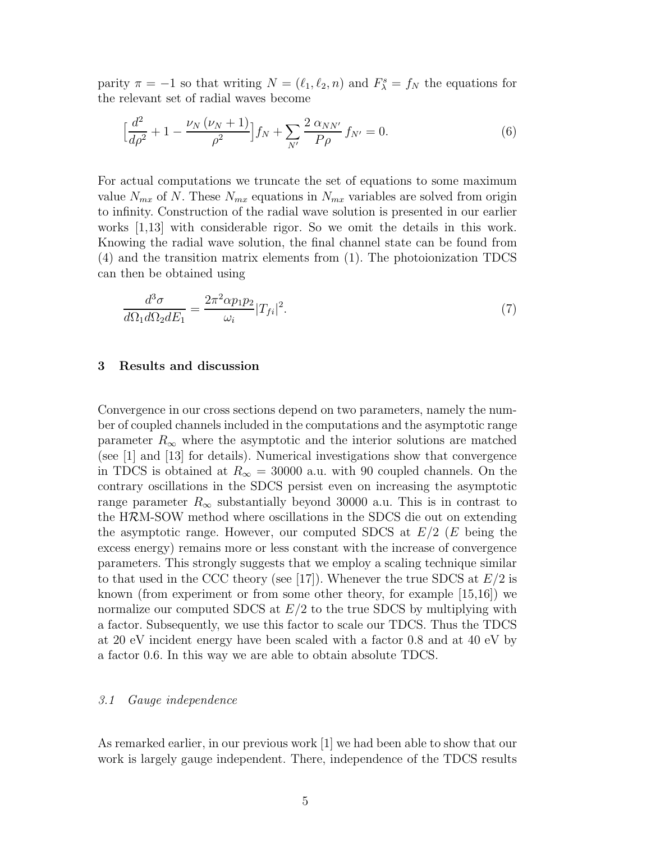parity  $\pi = -1$  so that writing  $N = (\ell_1, \ell_2, n)$  and  $F_{\lambda}^s = f_N$  the equations for the relevant set of radial waves become

$$
\left[\frac{d^2}{d\rho^2} + 1 - \frac{\nu_N(\nu_N + 1)}{\rho^2}\right] f_N + \sum_{N'} \frac{2 \alpha_{NN'}}{P\rho} f_{N'} = 0.
$$
 (6)

For actual computations we truncate the set of equations to some maximum value  $N_{mx}$  of N. These  $N_{mx}$  equations in  $N_{mx}$  variables are solved from origin to infinity. Construction of the radial wave solution is presented in our earlier works [1,13] with considerable rigor. So we omit the details in this work. Knowing the radial wave solution, the final channel state can be found from (4) and the transition matrix elements from (1). The photoionization TDCS can then be obtained using

$$
\frac{d^3\sigma}{d\Omega_1 d\Omega_2 dE_1} = \frac{2\pi^2 \alpha p_1 p_2}{\omega_i} |T_{fi}|^2. \tag{7}
$$

## 3 Results and discussion

Convergence in our cross sections depend on two parameters, namely the number of coupled channels included in the computations and the asymptotic range parameter  $R_{\infty}$  where the asymptotic and the interior solutions are matched (see [1] and [13] for details). Numerical investigations show that convergence in TDCS is obtained at  $R_{\infty} = 30000$  a.u. with 90 coupled channels. On the contrary oscillations in the SDCS persist even on increasing the asymptotic range parameter  $R_{\infty}$  substantially beyond 30000 a.u. This is in contrast to the HRM-SOW method where oscillations in the SDCS die out on extending the asymptotic range. However, our computed SDCS at  $E/2$  (E being the excess energy) remains more or less constant with the increase of convergence parameters. This strongly suggests that we employ a scaling technique similar to that used in the CCC theory (see [17]). Whenever the true SDCS at  $E/2$  is known (from experiment or from some other theory, for example [15,16]) we normalize our computed SDCS at  $E/2$  to the true SDCS by multiplying with a factor. Subsequently, we use this factor to scale our TDCS. Thus the TDCS at 20 eV incident energy have been scaled with a factor 0.8 and at 40 eV by a factor 0.6. In this way we are able to obtain absolute TDCS.

#### 3.1 Gauge independence

As remarked earlier, in our previous work [1] we had been able to show that our work is largely gauge independent. There, independence of the TDCS results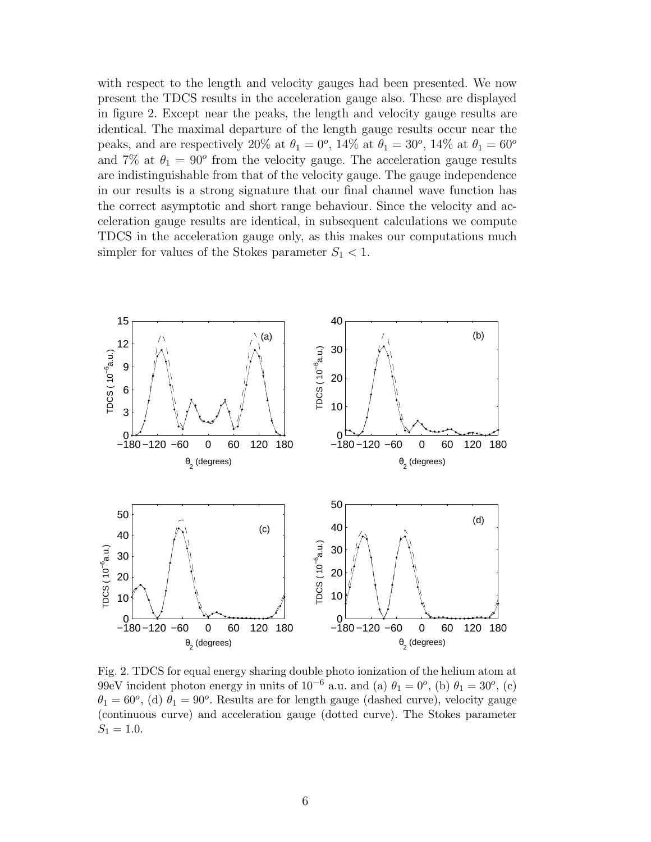with respect to the length and velocity gauges had been presented. We now present the TDCS results in the acceleration gauge also. These are displayed in figure 2. Except near the peaks, the length and velocity gauge results are identical. The maximal departure of the length gauge results occur near the peaks, and are respectively 20% at  $\theta_1 = 0^o$ , 14% at  $\theta_1 = 30^o$ , 14% at  $\theta_1 = 60^o$ and 7% at  $\theta_1 = 90^{\circ}$  from the velocity gauge. The acceleration gauge results are indistinguishable from that of the velocity gauge. The gauge independence in our results is a strong signature that our final channel wave function has the correct asymptotic and short range behaviour. Since the velocity and acceleration gauge results are identical, in subsequent calculations we compute TDCS in the acceleration gauge only, as this makes our computations much simpler for values of the Stokes parameter  $S_1 < 1$ .



Fig. 2. TDCS for equal energy sharing double photo ionization of the helium atom at 99eV incident photon energy in units of  $10^{-6}$  a.u. and (a)  $\theta_1 = 0^o$ , (b)  $\theta_1 = 30^o$ , (c)  $\theta_1 = 60^o$ , (d)  $\theta_1 = 90^o$ . Results are for length gauge (dashed curve), velocity gauge (continuous curve) and acceleration gauge (dotted curve). The Stokes parameter  $S_1 = 1.0.$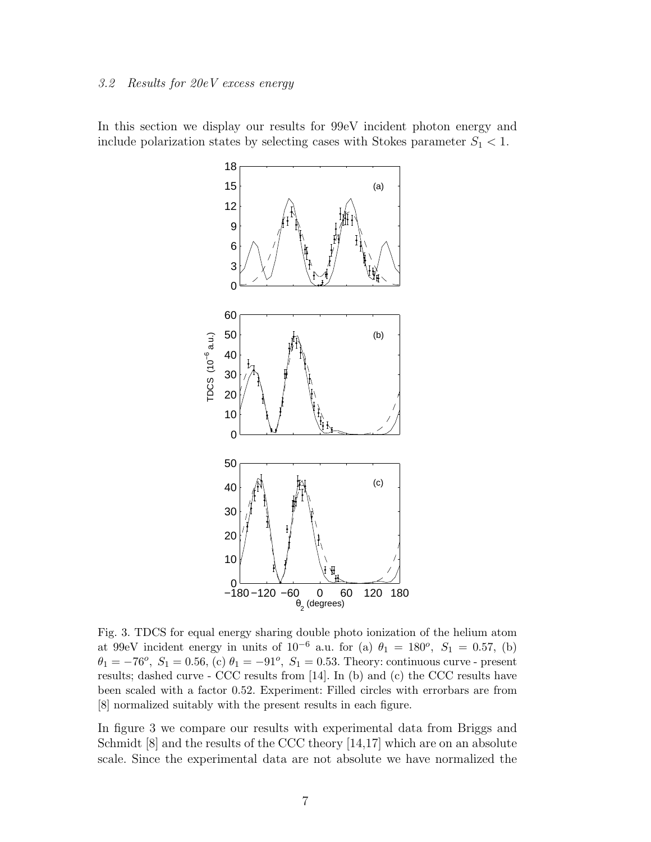## 3.2 Results for 20eV excess energy

In this section we display our results for 99eV incident photon energy and include polarization states by selecting cases with Stokes parameter  $S_1 < 1$ .



Fig. 3. TDCS for equal energy sharing double photo ionization of the helium atom at 99eV incident energy in units of  $10^{-6}$  a.u. for (a)  $\theta_1 = 180^{\circ}$ ,  $S_1 = 0.57$ , (b)  $\theta_1 = -76^o$ ,  $S_1 = 0.56$ , (c)  $\theta_1 = -91^o$ ,  $S_1 = 0.53$ . Theory: continuous curve - present results; dashed curve - CCC results from [14]. In (b) and (c) the CCC results have been scaled with a factor 0.52. Experiment: Filled circles with errorbars are from [8] normalized suitably with the present results in each figure.

In figure 3 we compare our results with experimental data from Briggs and Schmidt [8] and the results of the CCC theory [14,17] which are on an absolute scale. Since the experimental data are not absolute we have normalized the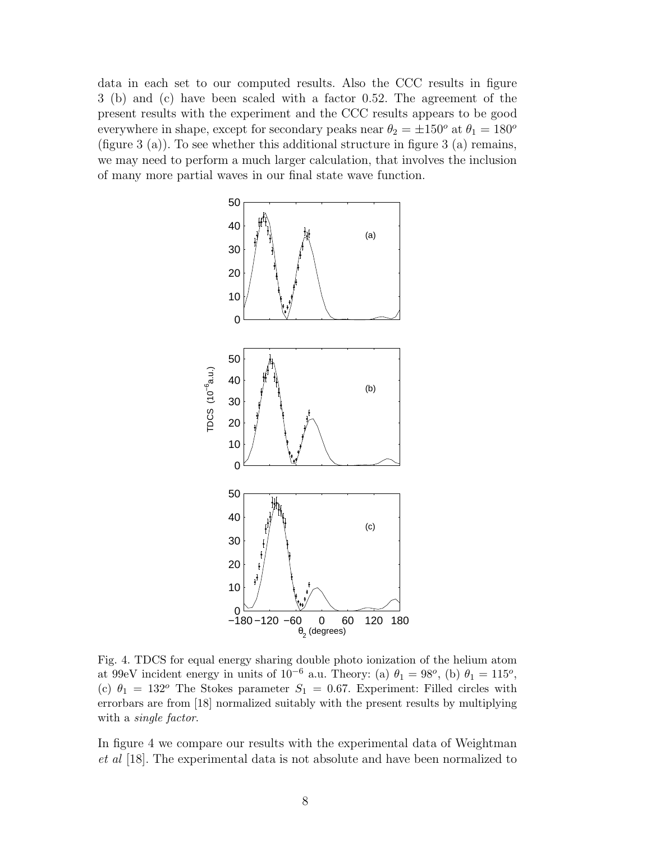data in each set to our computed results. Also the CCC results in figure 3 (b) and (c) have been scaled with a factor 0.52. The agreement of the present results with the experiment and the CCC results appears to be good everywhere in shape, except for secondary peaks near  $\theta_2 = \pm 150^\circ$  at  $\theta_1 = 180^\circ$ (figure 3 (a)). To see whether this additional structure in figure 3 (a) remains, we may need to perform a much larger calculation, that involves the inclusion of many more partial waves in our final state wave function.



Fig. 4. TDCS for equal energy sharing double photo ionization of the helium atom at 99eV incident energy in units of  $10^{-6}$  a.u. Theory: (a)  $\theta_1 = 98^o$ , (b)  $\theta_1 = 115^o$ , (c)  $\theta_1 = 132^{\circ}$  The Stokes parameter  $S_1 = 0.67$ . Experiment: Filled circles with errorbars are from [18] normalized suitably with the present results by multiplying with a *single factor*.

In figure 4 we compare our results with the experimental data of Weightman et al [18]. The experimental data is not absolute and have been normalized to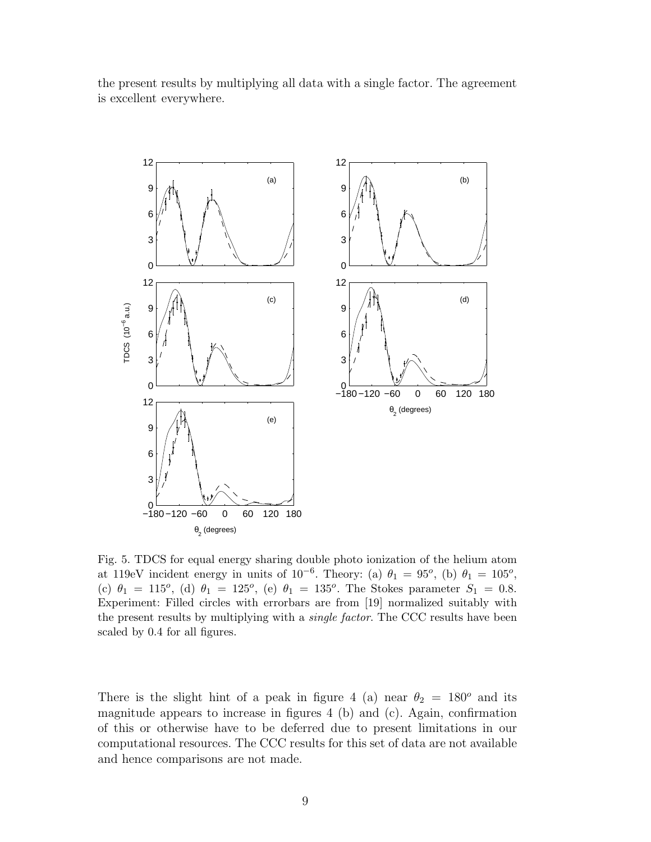the present results by multiplying all data with a single factor. The agreement is excellent everywhere.



Fig. 5. TDCS for equal energy sharing double photo ionization of the helium atom at 119eV incident energy in units of 10<sup>-6</sup>. Theory: (a)  $\theta_1 = 95^o$ , (b)  $\theta_1 = 105^o$ , (c)  $\theta_1 = 115^o$ , (d)  $\theta_1 = 125^o$ , (e)  $\theta_1 = 135^o$ . The Stokes parameter  $S_1 = 0.8$ . Experiment: Filled circles with errorbars are from [19] normalized suitably with the present results by multiplying with a *single factor*. The CCC results have been scaled by 0.4 for all figures.

There is the slight hint of a peak in figure 4 (a) near  $\theta_2 = 180^\circ$  and its magnitude appears to increase in figures 4 (b) and (c). Again, confirmation of this or otherwise have to be deferred due to present limitations in our computational resources. The CCC results for this set of data are not available and hence comparisons are not made.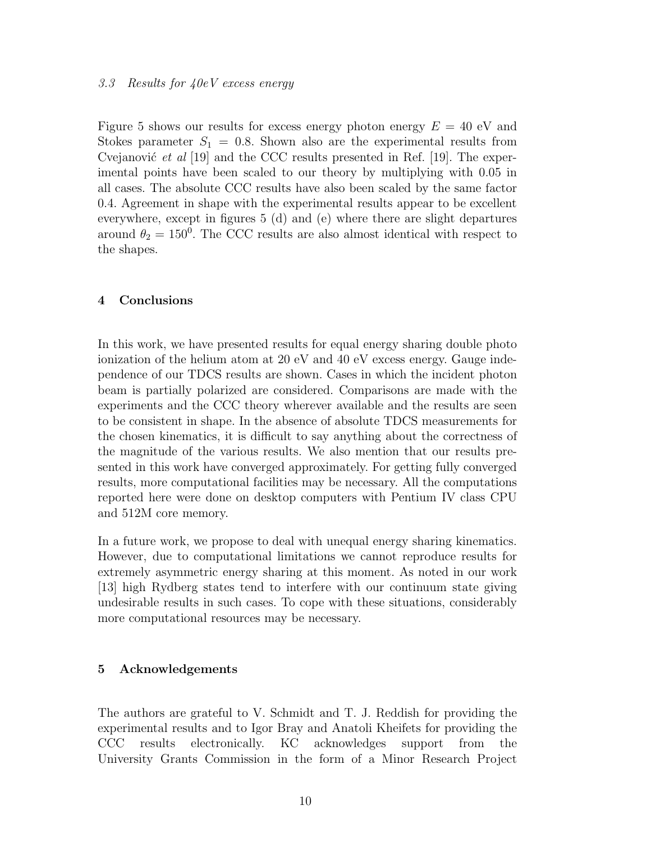## 3.3 Results for 40eV excess energy

Figure 5 shows our results for excess energy photon energy  $E = 40$  eV and Stokes parameter  $S_1 = 0.8$ . Shown also are the experimental results from Cvejanović *et al* [19] and the CCC results presented in Ref. [19]. The experimental points have been scaled to our theory by multiplying with 0.05 in all cases. The absolute CCC results have also been scaled by the same factor 0.4. Agreement in shape with the experimental results appear to be excellent everywhere, except in figures 5 (d) and (e) where there are slight departures around  $\theta_2 = 150^0$ . The CCC results are also almost identical with respect to the shapes.

## 4 Conclusions

In this work, we have presented results for equal energy sharing double photo ionization of the helium atom at 20 eV and 40 eV excess energy. Gauge independence of our TDCS results are shown. Cases in which the incident photon beam is partially polarized are considered. Comparisons are made with the experiments and the CCC theory wherever available and the results are seen to be consistent in shape. In the absence of absolute TDCS measurements for the chosen kinematics, it is difficult to say anything about the correctness of the magnitude of the various results. We also mention that our results presented in this work have converged approximately. For getting fully converged results, more computational facilities may be necessary. All the computations reported here were done on desktop computers with Pentium IV class CPU and 512M core memory.

In a future work, we propose to deal with unequal energy sharing kinematics. However, due to computational limitations we cannot reproduce results for extremely asymmetric energy sharing at this moment. As noted in our work [13] high Rydberg states tend to interfere with our continuum state giving undesirable results in such cases. To cope with these situations, considerably more computational resources may be necessary.

## 5 Acknowledgements

The authors are grateful to V. Schmidt and T. J. Reddish for providing the experimental results and to Igor Bray and Anatoli Kheifets for providing the CCC results electronically. KC acknowledges support from the University Grants Commission in the form of a Minor Research Project